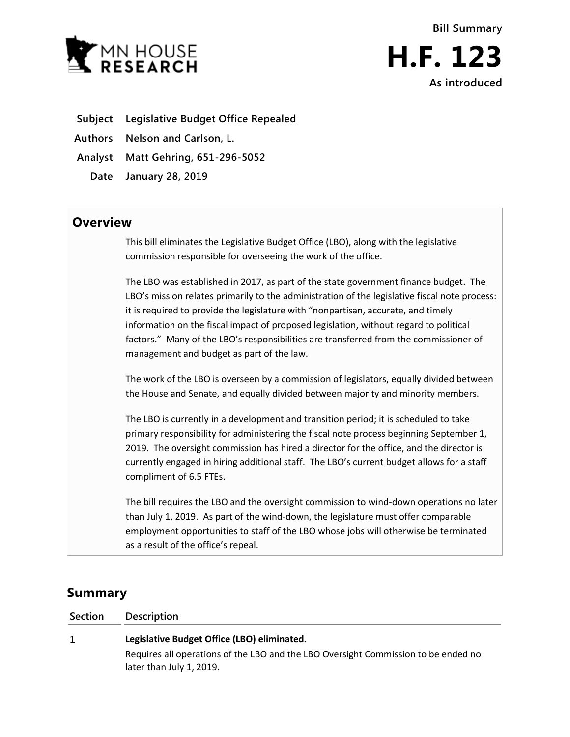



**Subject Legislative Budget Office Repealed**

**Authors Nelson and Carlson, L.**

**Analyst Matt Gehring, 651-296-5052**

**Date January 28, 2019**

## **Overview**

This bill eliminates the Legislative Budget Office (LBO), along with the legislative commission responsible for overseeing the work of the office.

The LBO was established in 2017, as part of the state government finance budget. The LBO's mission relates primarily to the administration of the legislative fiscal note process: it is required to provide the legislature with "nonpartisan, accurate, and timely information on the fiscal impact of proposed legislation, without regard to political factors." Many of the LBO's responsibilities are transferred from the commissioner of management and budget as part of the law.

The work of the LBO is overseen by a commission of legislators, equally divided between the House and Senate, and equally divided between majority and minority members.

The LBO is currently in a development and transition period; it is scheduled to take primary responsibility for administering the fiscal note process beginning September 1, 2019. The oversight commission has hired a director for the office, and the director is currently engaged in hiring additional staff. The LBO's current budget allows for a staff compliment of 6.5 FTEs.

The bill requires the LBO and the oversight commission to wind-down operations no later than July 1, 2019. As part of the wind-down, the legislature must offer comparable employment opportunities to staff of the LBO whose jobs will otherwise be terminated as a result of the office's repeal.

# **Summary**

### **Section Description**

#### $\mathbf{1}$ **Legislative Budget Office (LBO) eliminated.**

Requires all operations of the LBO and the LBO Oversight Commission to be ended no later than July 1, 2019.